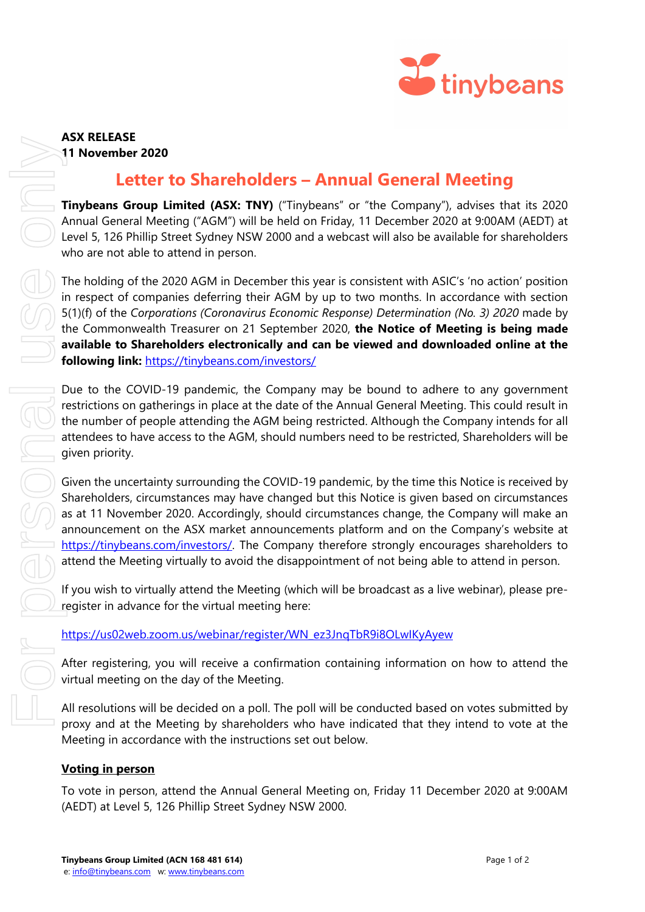

# **ASX RELEASE**

### **11 November 2020**

## **Letter to Shareholders – Annual General Meeting**

**Tinybeans Group Limited (ASX: TNY)** ("Tinybeans" or "the Company"), advises that its 2020 Annual General Meeting ("AGM") will be held on Friday, 11 December 2020 at 9:00AM (AEDT) at Level 5, 126 Phillip Street Sydney NSW 2000 and a webcast will also be available for shareholders who are not able to attend in person.

The holding of the 2020 AGM in December this year is consistent with ASIC's 'no action' position in respect of companies deferring their AGM by up to two months. In accordance with section 5(1)(f) of the *Corporations (Coronavirus Economic Response) Determination (No. 3) 2020* made by the Commonwealth Treasurer on 21 September 2020, **the Notice of Meeting is being made available to Shareholders electronically and can be viewed and downloaded online at the following link:** <https://tinybeans.com/investors/>

Due to the COVID-19 pandemic, the Company may be bound to adhere to any government restrictions on gatherings in place at the date of the Annual General Meeting. This could result in the number of people attending the AGM being restricted. Although the Company intends for all attendees to have access to the AGM, should numbers need to be restricted, Shareholders will be given priority.

Given the uncertainty surrounding the COVID-19 pandemic, by the time this Notice is received by Shareholders, circumstances may have changed but this Notice is given based on circumstances as at 11 November 2020. Accordingly, should circumstances change, the Company will make an announcement on the ASX market announcements platform and on the Company's website at [https://tinybeans.com/investors/.](https://tinybeans.com/investors/) The Company therefore strongly encourages shareholders to attend the Meeting virtually to avoid the disappointment of not being able to attend in person.

If you wish to virtually attend the Meeting (which will be broadcast as a live webinar), please preregister in advance for the virtual meeting here:

## [https://us02web.zoom.us/webinar/register/WN\\_ez3JnqTbR9i8OLwIKyAyew](https://us02web.zoom.us/webinar/register/WN_ez3JnqTbR9i8OLwIKyAyew)

After registering, you will receive a confirmation containing information on how to attend the virtual meeting on the day of the Meeting.

All resolutions will be decided on a poll. The poll will be conducted based on votes submitted by proxy and at the Meeting by shareholders who have indicated that they intend to vote at the Meeting in accordance with the instructions set out below.

## **Voting in person**

To vote in person, attend the Annual General Meeting on, Friday 11 December 2020 at 9:00AM